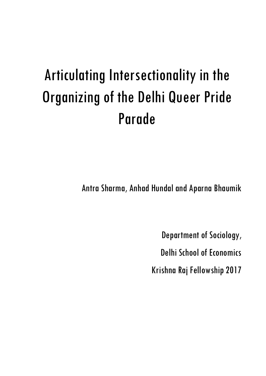# Articulating Intersectionality in the Organizing of the Delhi Queer Pride Parade

Antra Sharma, Anhad Hundal and Aparna Bhaumik

Department of Sociology,

Delhi School of Economics

Krishna Raj Fellowship 2017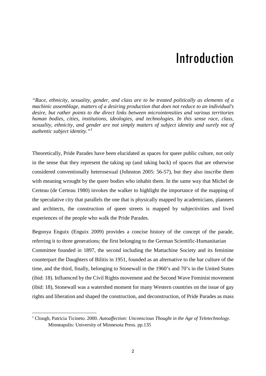### Introduction

*"Race, ethnicity, sexuality, gender, and class are to be treated politically as elements of a machinic assemblage, matters of a desiring production that does not reduce to an individual's desire, but rather points to the direct links between microintensities and various territories human bodies, cities, institutions, ideologies, and technologies. In this sense race, class, sexuality, ethnicity, and gender are not simply matters of subject identity and surely not of authentic subject identity."[1](#page-1-0)*

Theoretically, Pride Parades have been elucidated as spaces for queer public culture, not only in the sense that they represent the taking up (and taking back) of spaces that are otherwise considered conventionally heterosexual (Johnston 2005: 56-57), but they also inscribe them with meaning wrought by the queer bodies who inhabit them. In the same way that Michel de Certeau (de Certeau 1980) invokes the walker to highlight the importance of the mapping of the speculative city that parallels the one that is physically mapped by academicians, planners and architects, the construction of queer streets is mapped by subjectivities and lived experiences of the people who walk the Pride Parades.

Begonya Enguix (Enguix 2009) provides a concise history of the concept of the parade, referring it to three generations; the first belonging to the German Scientific-Humanitarian Committee founded in 1897, the second including the Mattachine Society and its feminine counterpart the Daughters of Bilitis in 1951, founded as an alternative to the bar culture of the time, and the third, finally, belonging to Stonewall in the 1960's and 70's in the United States (ibid: 18). Influenced by the Civil Rights movement and the Second Wave Feminist movement (ibid: 18), Stonewall was a watershed moment for many Western countries on the issue of gay rights and liberation and shaped the construction, and deconstruction, of Pride Parades as mass

<u>.</u>

<span id="page-1-0"></span><sup>1</sup> Clough, Patricia Ticineto. 2000. *Autoaffection: Unconscious Thought in the Age of Teletechnology.* Minneapolis: University of Minnesota Press. pp.135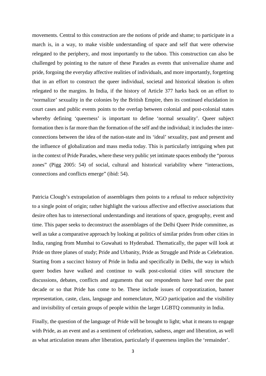movements. Central to this construction are the notions of pride and shame; to participate in a march is, in a way, to make visible understanding of space and self that were otherwise relegated to the periphery, and most importantly to the taboo. This construction can also be challenged by pointing to the nature of these Parades as events that universalize shame and pride, forgoing the everyday affective realities of individuals, and more importantly, forgetting that in an effort to construct the queer individual, societal and historical ideation is often relegated to the margins. In India, if the history of Article 377 harks back on an effort to 'normalize' sexuality in the colonies by the British Empire, then its continued elucidation in court cases and public events points to the overlap between colonial and post-colonial states whereby defining 'queerness' is important to define 'normal sexuality'. Queer subject formation then is far more than the formation of the self and the individual; it includes the interconnections between the idea of the nation-state and its 'ideal' sexuality, past and present and the influence of globalization and mass media today. This is particularly intriguing when put in the context of Pride Parades, where these very public yet intimate spaces embody the "porous zones" (Pigg 2005: 54) of social, cultural and historical variability where "interactions, connections and conflicts emerge" (ibid: 54).

Patricia Clough's extrapolation of assemblages then points to a refusal to reduce subjectivity to a single point of origin; rather highlight the various affective and effective associations that desire often has to intersectional understandings and iterations of space, geography, event and time. This paper seeks to deconstruct the assemblages of the Delhi Queer Pride committee, as well as take a comparative approach by looking at politics of similar prides from other cities in India, ranging from Mumbai to Guwahati to Hyderabad. Thematically, the paper will look at Pride on three planes of study; Pride and Urbanity, Pride as Struggle and Pride as Celebration. Starting from a succinct history of Pride in India and specifically in Delhi, the way in which queer bodies have walked and continue to walk post-colonial cities will structure the discussions, debates, conflicts and arguments that our respondents have had over the past decade or so that Pride has come to be. These include issues of corporatization, banner representation, caste, class, language and nomenclature, NGO participation and the visibility and invisibility of certain groups of people within the larger LGBTQ community in India.

Finally, the question of the language of Pride will be brought to light; what it means to engage with Pride, as an event and as a sentiment of celebration, sadness, anger and liberation, as well as what articulation means after liberation, particularly if queerness implies the 'remainder'.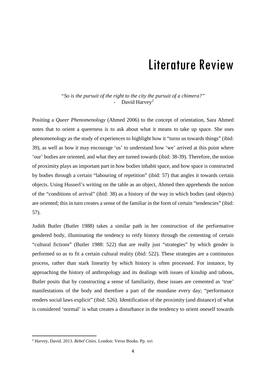### Literature Review

*"So is the pursuit of the right to the city the pursuit of a chimera?"* - David Harvey<sup>[2](#page-3-0)</sup>

Positing a *Queer Phenomenology* (Ahmed 2006) to the concept of orientation, Sara Ahmed notes that to orient a queerness is to ask about what it means to take up space. She uses phenomenology as the study of experiences to highlight how it "turns us towards things" (ibid: 39), as well as how it may encourage 'us' to understand how 'we' arrived at this point where 'our' bodies are oriented, and what they are turned towards (ibid: 38-39). Therefore, the notion of proximity plays an important part in how bodies inhabit space, and how space is constructed by bodies through a certain "labouring of repetition" (ibid: 57) that angles it towards certain objects. Using Husserl's writing on the table as an object, Ahmed then apprehends the notion of the "conditions of arrival" (ibid: 38) as a history of the way in which bodies (and objects) are oriented; this in turn creates a sense of the familiar in the form of certain "tendencies" (ibid: 57).

Judith Butler (Butler 1988) takes a similar path in her construction of the performative gendered body, illuminating the tendency to reify history through the cementing of certain "cultural fictions" (Butler 1988: 522) that are really just "strategies" by which gender is performed so as to fit a certain cultural reality (ibid: 522). These strategies are a continuous process, rather than stark linearity by which history is often processed. For instance, by approaching the history of anthropology and its dealings with issues of kinship and taboos, Butler posits that by constructing a sense of familiarity, these issues are cemented as 'true' manifestations of the body and therefore a part of the mundane every day; "performance renders social laws explicit" (ibid: 526). Identification of the proximity (and distance) of what is considered 'normal' is what creates a disturbance in the tendency to orient oneself towards

<span id="page-3-0"></span> <sup>2</sup> Harvey, David. 2013. *Rebel Cities.* London: Verso Books. Pp. xvi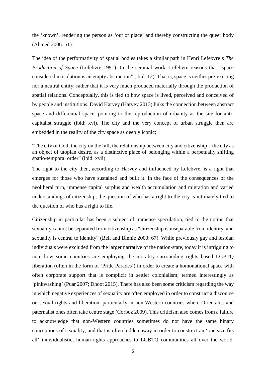the 'known', rendering the person as 'out of place' and thereby constructing the queer body (Ahmed 2006: 51).

The idea of the performativity of spatial bodies takes a similar path in Henri Lefebvre's *The Production of Space* (Lefebvre 1991). In the seminal work, Lefebvre reasons that "space considered in isolation is an empty abstraction" (ibid: 12). That is, space is neither pre-existing nor a neutral entity; rather that it is very much produced materially through the production of spatial relations. Conceptually, this is tied to how space is lived, perceived and conceived of by people and institutions. David Harvey (Harvey 2013) links the connection between abstract space and differential space, pointing to the reproduction of urbanity as the site for anticapitalist struggle (ibid: xvi). The city and the very concept of urban struggle then are embedded in the reality of the city space as deeply iconic;

"The city of God, the city on the hill, the relationship between city and citizenship – the city as an object of utopian desire, as a distinctive place of belonging within a perpetually shifting spatio-temporal order" (ibid: xvii)

The right to the city then, according to Harvey and influenced by Lefebvre, is a right that emerges for those who have sustained and built it. In the face of the consequences of the neoliberal turn, immense capital surplus and wealth accumulation and migration and varied understandings of citizenship, the question of who has a right to the city is intimately tied to the question of who has a right to life.

Citizenship in particular has been a subject of immense speculation, tied to the notion that sexuality cannot be separated from citizenship as "citizenship is inseparable from identity, and sexuality is central to identity" (Bell and Binnie 2000: 67). While previously gay and lesbian individuals were excluded from the larger narrative of the nation-state, today it is intriguing to note how some countries are employing the morality surrounding rights based LGBTQ liberation (often in the form of 'Pride Parades') in order to create a homonational space with often corporate support that is complicit in settler colonialism; termed interestingly as 'pinkwashing' (Puar 2007; Dhoot 2015). There has also been some criticism regarding the way in which negative experiences of sexuality are often employed in order to construct a discourse on sexual rights and liberation, particularly in non-Western countries where Orientalist and paternalist ones often take centre stage (Corboz 2009). This criticism also comes from a failure to acknowledge that non-Western countries sometimes do not have the same binary conceptions of sexuality, and that is often hidden away in order to construct an 'one size fits all' individualistic, human-rights approaches to LGBTQ communities all over the world.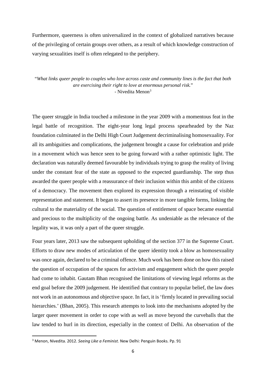Furthermore, queerness is often universalized in the context of globalized narratives because of the privileging of certain groups over others, as a result of which knowledge construction of varying sexualities itself is often relegated to the periphery.

"*What links queer people to couples who love across caste and community lines is the fact that both are exercising their right to love at enormous personal risk.*" - Nivedita Menon<sup>[3](#page-5-0)</sup>

The queer struggle in India touched a milestone in the year 2009 with a momentous feat in the legal battle of recognition. The eight-year long legal process spearheaded by the Naz foundation culminated in the Delhi High Court Judgement decriminalising homosexuality. For all its ambiguities and complications, the judgement brought a cause for celebration and pride in a movement which was hence seen to be going forward with a rather optimistic light. The declaration was naturally deemed favourable by individuals trying to grasp the reality of living under the constant fear of the state as opposed to the expected guardianship. The step thus awarded the queer people with a reassurance of their inclusion within this ambit of the citizens of a democracy. The movement then explored its expression through a reinstating of visible representation and statement. It began to assert its presence in more tangible forms, linking the cultural to the materiality of the social. The question of entitlement of space became essential and precious to the multiplicity of the ongoing battle. As undeniable as the relevance of the legality was, it was only a part of the queer struggle.

Four years later, 2013 saw the subsequent upholding of the section 377 in the Supreme Court. Efforts to draw new modes of articulation of the queer identity took a blow as homosexuality was once again, declared to be a criminal offence. Much work has been done on how this raised the question of occupation of the spaces for activism and engagement which the queer people had come to inhabit. Gautam Bhan recognised the limitations of viewing legal reforms as the end goal before the 2009 judgement. He identified that contrary to popular belief, the law does not work in an autonomous and objective space. In fact, it is 'firmly located in prevailing social hierarchies.' (Bhan, 2005). This research attempts to look into the mechanisms adopted by the larger queer movement in order to cope with as well as move beyond the curveballs that the law tended to hurl in its direction, especially in the context of Delhi. An observation of the

<span id="page-5-0"></span> <sup>3</sup> Menon, Nivedita. 2012. *Seeing Like a Feminist.* New Delhi: Penguin Books. Pp. 91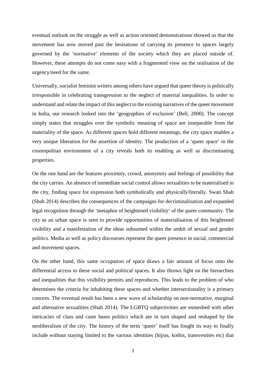eventual outlook on the struggle as well as action oriented demonstrations showed us that the movement has now moved past the hesitations of carrying its presence to spaces largely governed by the 'normative' elements of the society which they are placed outside of. However, these attempts do not come easy with a fragmented view on the realisation of the urgency/need for the same.

Universally, socialist feminist writers among others have argued that queer theory is politically irresponsible in celebrating transgression to the neglect of material inequalities. In order to understand and relate the impact of this neglect to the existing narratives of the queer movement in India, our research looked into the 'geographies of exclusion' (Bell, 2000). The concept simply states that struggles over the symbolic meaning of space are inseparable from the materiality of the space. As different spaces hold different meanings, the city space enables a very unique liberation for the assertion of identity. The production of a 'queer space' in the cosmopolitan environment of a city reveals both its enabling as well as discriminating properties.

On the one hand are the features proximity, crowd, anonymity and feelings of possibility that the city carries. An absence of immediate social control allows sexualities to be materialised in the city, finding space for expression both symbolically and physically/literally. Swati Shah (Shah 2014) describes the consequences of the campaigns for decriminalisation and expanded legal recognition through the 'metaphor of heightened visibility' of the queer community. The city as an urban space is seen to provide opportunities of materialisation of this heightened visibility and a manifestation of the ideas subsumed within the ambit of sexual and gender politics. Media as well as policy discourses represent the queer presence in social, commercial and movement spaces.

On the other hand, this same occupation of space draws a fair amount of focus onto the differential access to these social and political spaces. It also throws light on the hierarchies and inequalities that this visibility permits and reproduces. This leads to the problem of who determines the criteria for inhabiting these spaces and whether intersectionality is a primary concern. The eventual result has been a new wave of scholarship on non-normative, marginal and alternative sexualities (Shah 2014). The LGBTQ subjectivities are enmeshed with other intricacies of class and caste bases politics which are in turn shaped and reshaped by the neoliberalism of the city. The history of the term 'queer' itself has fought its way to finally include without staying limited to the various identities (hijras, kothis, transvestites etc) that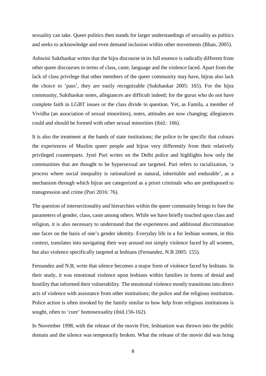sexuality can take. Queer politics then stands for larger understandings of sexuality as politics and seeks to acknowledge and even demand inclusion within other movements (Bhan, 2005).

Ashwini Sukthankar writes that the hijra discourse in its full essence is radically different from other queer discourses in terms of class, caste, language and the violence faced. Apart from the lack of class privilege that other members of the queer community may have, hijras also lack the choice to 'pass', they are easily recognizable (Sukthankar 2005: 165). For the hijra community, Sukthankar notes, allegiances are difficult indeed; for the gurus who do not have complete faith in LGBT issues or the class divide in question. Yet, as Famila, a member of Vividha (an association of sexual minorities), notes, attitudes are now changing; allegiances could and should be formed with other sexual minorities (ibid.: 166).

It is also the treatment at the hands of state institutions; the police to be specific that colours the experiences of Muslim queer people and hijras very differently from their relatively privileged counterparts. Jyoti Puri writes on the Delhi police and highlights how only the communities that are thought to be hypersexual are targeted. Puri refers to racialization, 'a process where social inequality is rationalized as natural, inheritable and endurable', as a mechanism through which hijras are categorized as a priori criminals who are predisposed to transgression and crime (Puri 2016: 76).

The question of intersectionality and hierarchies within the queer community brings to fore the parameters of gender, class, caste among others. While we have briefly touched upon class and religion, it is also necessary to understand that the experiences and additional discrimination one faces on the basis of one's gender identity. Everyday life in a for lesbian women, in this context, translates into navigating their way around not simply violence faced by all women, but also violence specifically targeted at lesbians (Fernandez, N.B 2005: 155).

Fernandez and N.B, write that silence becomes a major form of violence faced by lesbians. In their study, it was emotional violence upon lesbians within families in forms of denial and hostility that informed their vulnerability. The emotional violence mostly transitions into direct acts of violence with assistance from other institutions; the police and the religious institution. Police action is often invoked by the family similar to how help from religious institutions is sought, often to 'cure' homosexuality (ibid.156-162).

In November 1998, with the release of the movie Fire, lesbianism was thrown into the public domain and the silence was temporarily broken. What the release of the movie did was bring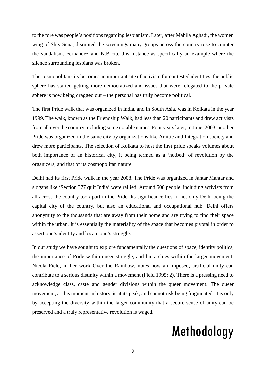to the fore was people's positions regarding lesbianism. Later, after Mahila Aghadi, the women wing of Shiv Sena, disrupted the screenings many groups across the country rose to counter the vandalism. Fernandez and N.B cite this instance as specifically an example where the silence surrounding lesbians was broken.

The cosmopolitan city becomes an important site of activism for contested identities; the public sphere has started getting more democratized and issues that were relegated to the private sphere is now being dragged out – the personal has truly become political.

The first Pride walk that was organized in India, and in South Asia, was in Kolkata in the year 1999. The walk, known as the Friendship Walk, had less than 20 participants and drew activists from all over the country including some notable names. Four years later, in June, 2003, another Pride was organized in the same city by organizations like Amitie and Integration society and drew more participants. The selection of Kolkata to host the first pride speaks volumes about both importance of an historical city, it being termed as a 'hotbed' of revolution by the organizers, and that of its cosmopolitan nature.

Delhi had its first Pride walk in the year 2008. The Pride was organized in Jantar Mantar and slogans like 'Section 377 quit India' were rallied. Around 500 people, including activists from all across the country took part in the Pride. Its significance lies in not only Delhi being the capital city of the country, but also an educational and occupational hub. Delhi offers anonymity to the thousands that are away from their home and are trying to find their space within the urban. It is essentially the materiality of the space that becomes pivotal in order to assert one's identity and locate one's struggle.

In our study we have sought to explore fundamentally the questions of space, identity politics, the importance of Pride within queer struggle, and hierarchies within the larger movement. Nicola Field, in her work Over the Rainbow, notes how an imposed, artificial unity can contribute to a serious disunity within a movement (Field 1995: 2). There is a pressing need to acknowledge class, caste and gender divisions within the queer movement. The queer movement, at this moment in history, is at its peak, and cannot risk being fragmented. It is only by accepting the diversity within the larger community that a secure sense of unity can be preserved and a truly representative revolution is waged.

### Methodology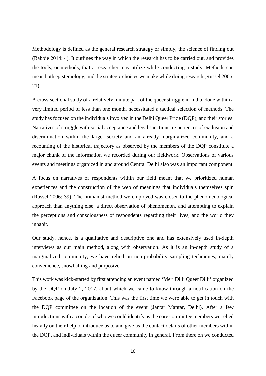Methodology is defined as the general research strategy or simply, the science of finding out (Babbie 2014: 4). It outlines the way in which the research has to be carried out, and provides the tools, or methods, that a researcher may utilize while conducting a study. Methods can mean both epistemology, and the strategic choices we make while doing research (Russel 2006: 21).

A cross-sectional study of a relatively minute part of the queer struggle in India, done within a very limited period of less than one month, necessitated a tactical selection of methods. The study has focused on the individuals involved in the Delhi Queer Pride (DQP), and their stories. Narratives of struggle with social acceptance and legal sanctions, experiences of exclusion and discrimination within the larger society and an already marginalized community, and a recounting of the historical trajectory as observed by the members of the DQP constitute a major chunk of the information we recorded during our fieldwork. Observations of various events and meetings organized in and around Central Delhi also was an important component.

A focus on narratives of respondents within our field meant that we prioritized human experiences and the construction of the web of meanings that individuals themselves spin (Russel 2006: 39). The humanist method we employed was closer to the phenomenological approach than anything else; a direct observation of phenomenon, and attempting to explain the perceptions and consciousness of respondents regarding their lives, and the world they inhabit.

Our study, hence, is a qualitative and descriptive one and has extensively used in-depth interviews as our main method, along with observation. As it is an in-depth study of a marginalized community, we have relied on non-probability sampling techniques; mainly convenience, snowballing and purposive.

This work was kick-started by first attending an event named 'Meri Dilli Queer Dilli' organized by the DQP on July 2, 2017, about which we came to know through a notification on the Facebook page of the organization. This was the first time we were able to get in touch with the DQP committee on the location of the event (Jantar Mantar, Delhi). After a few introductions with a couple of who we could identify as the core committee members we relied heavily on their help to introduce us to and give us the contact details of other members within the DQP, and individuals within the queer community in general. From there on we conducted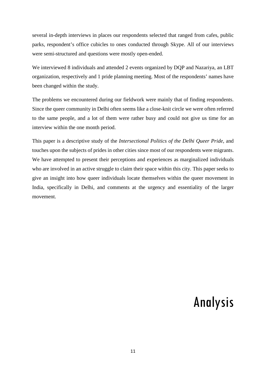several in-depth interviews in places our respondents selected that ranged from cafes, public parks, respondent's office cubicles to ones conducted through Skype. All of our interviews were semi-structured and questions were mostly open-ended.

We interviewed 8 individuals and attended 2 events organized by DQP and Nazariya, an LBT organization, respectively and 1 pride planning meeting. Most of the respondents' names have been changed within the study.

The problems we encountered during our fieldwork were mainly that of finding respondents. Since the queer community in Delhi often seems like a close-knit circle we were often referred to the same people, and a lot of them were rather busy and could not give us time for an interview within the one month period.

This paper is a descriptive study of the *Intersectional Politics of the Delhi Queer Pride*, and touches upon the subjects of prides in other cities since most of our respondents were migrants. We have attempted to present their perceptions and experiences as marginalized individuals who are involved in an active struggle to claim their space within this city. This paper seeks to give an insight into how queer individuals locate themselves within the queer movement in India, specifically in Delhi, and comments at the urgency and essentiality of the larger movement.

## Analysis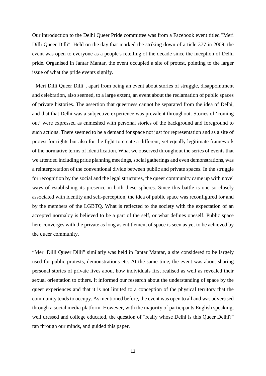Our introduction to the Delhi Queer Pride committee was from a Facebook event titled "Meri Dilli Queer Dilli". Held on the day that marked the striking down of article 377 in 2009, the event was open to everyone as a people's retelling of the decade since the inception of Delhi pride. Organised in Jantar Mantar, the event occupied a site of protest, pointing to the larger issue of what the pride events signify.

"Meri Dilli Queer Dilli", apart from being an event about stories of struggle, disappointment and celebration, also seemed, to a large extent, an event about the reclamation of public spaces of private histories. The assertion that queerness cannot be separated from the idea of Delhi, and that that Delhi was a subjective experience was prevalent throughout. Stories of 'coming out' were expressed as enmeshed with personal stories of the background and foreground to such actions. There seemed to be a demand for space not just for representation and as a site of protest for rights but also for the fight to create a different, yet equally legitimate framework of the normative terms of identification. What we observed throughout the series of events that we attended including pride planning meetings, social gatherings and even demonstrations, was a reinterpretation of the conventional divide between public and private spaces. In the struggle for recognition by the social and the legal structures, the queer community came up with novel ways of establishing its presence in both these spheres. Since this battle is one so closely associated with identity and self-perception, the idea of public space was reconfigured for and by the members of the LGBTQ. What is reflected to the society with the expectation of an accepted normalcy is believed to be a part of the self, or what defines oneself. Public space here converges with the private as long as entitlement of space is seen as yet to be achieved by the queer community.

"Meri Dilli Queer Dilli" similarly was held in Jantar Mantar, a site considered to be largely used for public protests, demonstrations etc. At the same time, the event was about sharing personal stories of private lives about how individuals first realised as well as revealed their sexual orientation to others. It informed our research about the understanding of space by the queer experiences and that it is not limited to a conception of the physical territory that the community tends to occupy. As mentioned before, the event was open to all and was advertised through a social media platform. However, with the majority of participants English speaking, well dressed and college educated, the question of "really whose Delhi is this Queer Delhi?" ran through our minds, and guided this paper.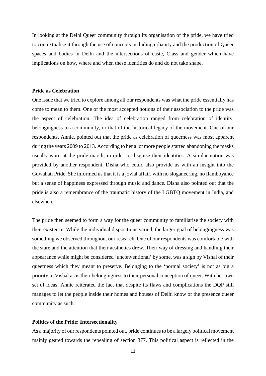In looking at the Delhi Queer community through its organisation of the pride, we have tried to contextualise it through the use of concepts including urbanity and the production of Queer spaces and bodies in Delhi and the intersections of caste, Class and gender which have implications on how, where and when these identities do and do not take shape.

#### **Pride as Celebration**

One issue that we tried to explore among all our respondents was what the pride essentially has come to mean to them. One of the most accepted notions of their association to the pride was the aspect of celebration. The idea of celebration ranged from celebration of identity, belongingness to a community, or that of the historical legacy of the movement. One of our respondents, Annie, pointed out that the pride as celebration of queerness was most apparent during the years 2009 to 2013. According to her a lot more people started abandoning the masks usually worn at the pride march, in order to disguise their identities. A similar notion was provided by another respondent, Disha who could also provide us with an insight into the Guwahati Pride. She informed us that it is a jovial affair, with no sloganeering, no flamboyance but a sense of happiness expressed through music and dance. Disha also pointed out that the pride is also a remembrance of the traumatic history of the LGBTQ movement in India, and elsewhere.

The pride then seemed to form a way for the queer community to familiarise the society with their existence. While the individual dispositions varied, the larger goal of belongingness was something we observed throughout our research. One of our respondents was comfortable with the stare and the attention that their aesthetics drew. Their way of dressing and handling their appearance while might be considered 'unconventional' by some, was a sign by Vishal of their queerness which they meant to preserve. Belonging to the 'normal society' is not as big a priority to Vishal as is their belongingness to their personal conception of queer. With her own set of ideas, Annie reiterated the fact that despite its flaws and complications the DQP still manages to let the people inside their homes and houses of Delhi know of the presence queer community as such.

#### **Politics of the Pride: Intersectionality**

As a majority of our respondents pointed out, pride continues to be a largely political movement mainly geared towards the repealing of section 377. This political aspect is reflected in the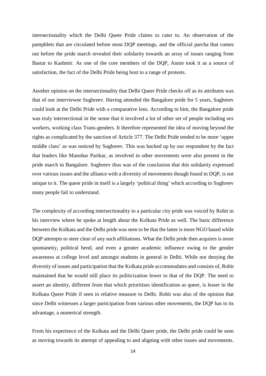intersectionality which the Delhi Queer Pride claims to cater to. An observation of the pamphlets that are circulated before most DQP meetings, and the official parcha that comes out before the pride march revealed their solidarity towards an array of issues ranging from Bastar to Kashmir. As one of the core members of the DQP, Annie took it as a source of satisfaction, the fact of the Delhi Pride being host to a range of protests.

Another opinion on the intersectionality that Delhi Queer Pride checks off as its attributes was that of our interviewee Sughreev. Having attended the Bangalore pride for 5 years, Sughreev could look at the Delhi Pride with a comparative lens. According to him, the Bangalore pride was truly intersectional in the sense that it involved a lot of other set of people including sex workers, working class Trans-genders. It therefore represented the idea of moving beyond the rights as complicated by the sanction of Article 377. The Delhi Pride tended to be more 'upper middle class' as was noticed by Sughreev. This was backed up by our respondent by the fact that leaders like Manohar Parikar, as involved in other movements were also present in the pride march in Bangalore. Sughreev thus was of the conclusion that this solidarity expressed over various issues and the alliance with a diversity of movements though found in DQP, is not unique to it. The queer pride in itself is a largely 'political thing' which according to Sughreev many people fail to understand.

The complexity of according intersectionality to a particular city pride was voiced by Rohit in his interview where he spoke at length about the Kolkata Pride as well. The basic difference between the Kolkata and the Delhi pride was seen to be that the latter is more NGO based while DQP attempts to steer clear of any such affiliations. What the Delhi pride then acquires is more spontaneity, political bend, and even a greater academic influence owing to the gender awareness at college level and amongst students in general in Delhi. While not denying the diversity of issues and participation that the Kolkata pride accommodates and consists of, Rohit maintained that he would still place its politicization lower to that of the DQP. The need to assert an identity, different from that which prioritises identification as queer, is lesser in the Kolkata Queer Pride if seen in relative measure to Delhi. Rohit was also of the opinion that since Delhi witnesses a larger participation from various other movements, the DQP has to its advantage, a numerical strength.

From his experience of the Kolkata and the Delhi Queer pride, the Delhi pride could be seen as moving towards its attempt of appealing to and aligning with other issues and movements.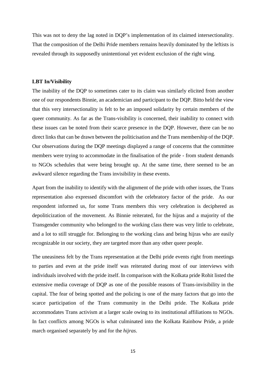This was not to deny the lag noted in DQP's implementation of its claimed intersectionality. That the composition of the Delhi Pride members remains heavily dominated by the leftists is revealed through its supposedly unintentional yet evident exclusion of the right wing.

#### **LBT In/Visibility**

The inability of the DQP to sometimes cater to its claim was similarly elicited from another one of our respondents Binnie, an academician and participant to the DQP. Bitto held the view that this very intersectionality is felt to be an imposed solidarity by certain members of the queer community. As far as the Trans-visibility is concerned, their inability to connect with these issues can be noted from their scarce presence in the DQP. However, there can be no direct links that can be drawn between the politicisation and the Trans membership of the DQP. Our observations during the DQP meetings displayed a range of concerns that the committee members were trying to accommodate in the finalisation of the pride - from student demands to NGOs schedules that were being brought up. At the same time, there seemed to be an awkward silence regarding the Trans invisibility in these events.

Apart from the inability to identify with the alignment of the pride with other issues, the Trans representation also expressed discomfort with the celebratory factor of the pride. As our respondent informed us, for some Trans members this very celebration is deciphered as depoliticization of the movement. As Binnie reiterated, for the hijras and a majority of the Transgender community who belonged to the working class there was very little to celebrate, and a lot to still struggle for. Belonging to the working class and being hijras who are easily recognizable in our society, they are targeted more than any other queer people.

The uneasiness felt by the Trans representation at the Delhi pride events right from meetings to parties and even at the pride itself was reiterated during most of our interviews with individuals involved with the pride itself. In comparison with the Kolkata pride Rohit listed the extensive media coverage of DQP as one of the possible reasons of Trans-invisibility in the capital. The fear of being spotted and the policing is one of the many factors that go into the scarce participation of the Trans community in the Delhi pride. The Kolkata pride accommodates Trans activism at a larger scale owing to its institutional affiliations to NGOs. In fact conflicts among NGOs is what culminated into the Kolkata Rainbow Pride, a pride march organised separately by and for the *hijras*.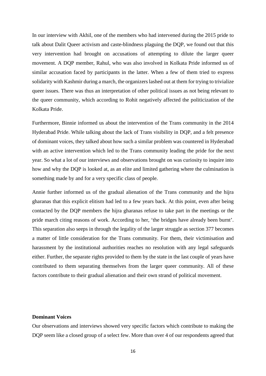In our interview with Akhil, one of the members who had intervened during the 2015 pride to talk about Dalit Queer activism and caste-blindness plaguing the DQP, we found out that this very intervention had brought on accusations of attempting to dilute the larger queer movement. A DQP member, Rahul, who was also involved in Kolkata Pride informed us of similar accusation faced by participants in the latter. When a few of them tried to express solidarity with Kashmir during a march, the organizers lashed out at them for trying to trivialize queer issues. There was thus an interpretation of other political issues as not being relevant to the queer community, which according to Rohit negatively affected the politicization of the Kolkata Pride.

Furthermore, Binnie informed us about the intervention of the Trans community in the 2014 Hyderabad Pride. While talking about the lack of Trans visibility in DQP, and a felt presence of dominant voices, they talked about how such a similar problem was countered in Hyderabad with an active intervention which led to the Trans community leading the pride for the next year. So what a lot of our interviews and observations brought on was curiosity to inquire into how and why the DQP is looked at, as an elite and limited gathering where the culmination is something made by and for a very specific class of people.

Annie further informed us of the gradual alienation of the Trans community and the hijra gharanas that this explicit elitism had led to a few years back. At this point, even after being contacted by the DQP members the hijra gharanas refuse to take part in the meetings or the pride march citing reasons of work. According to her, 'the bridges have already been burnt'. This separation also seeps in through the legality of the larger struggle as section 377 becomes a matter of little consideration for the Trans community. For them, their victimisation and harassment by the institutional authorities reaches no resolution with any legal safeguards either. Further, the separate rights provided to them by the state in the last couple of years have contributed to them separating themselves from the larger queer community. All of these factors contribute to their gradual alienation and their own strand of political movement.

#### **Dominant Voices**

Our observations and interviews showed very specific factors which contribute to making the DQP seem like a closed group of a select few. More than over 4 of our respondents agreed that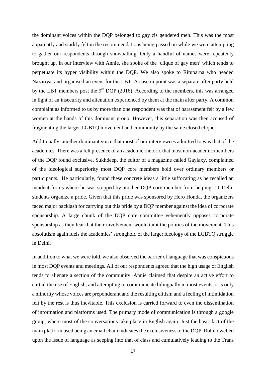the dominant voices within the DQP belonged to gay cis gendered men. This was the most apparently and starkly felt in the recommendations being passed on while we were attempting to gather our respondents through snowballing. Only a handful of names were repeatedly brought up. In our interview with Annie, she spoke of the 'clique of gay men' which tends to perpetuate its hyper visibility within the DQP. We also spoke to Rituparna who headed Nazariya, and organised an event for the LBT. A case in point was a separate after party held by the LBT members post the 9<sup>th</sup> DOP (2016). According to the members, this was arranged in light of an insecurity and alienation experienced by them at the main after party. A common complaint as informed to us by more than one respondent was that of harassment felt by a few women at the hands of this dominant group. However, this separation was then accused of fragmenting the larger LGBTQ movement and community by the same closed clique.

Additionally, another dominant voice that most of our interviewees admitted to was that of the academics. There was a felt presence of an academic rhetoric that most non-academic members of the DQP found exclusive. Sukhdeep, the editor of a magazine called Gaylaxy, complained of the ideological superiority most DQP core members hold over ordinary members or participants. He particularly, found these concrete ideas a little suffocating as he recalled an incident for us where he was stopped by another DQP core member from helping IIT-Delhi students organize a pride. Given that this pride was sponsored by Hero Honda, the organizers faced major backlash for carrying out this pride by a DQP member against the idea of corporate sponsorship. A large chunk of the DQP core committee vehemently opposes corporate sponsorship as they fear that their involvement would taint the politics of the movement. This absolutism again fuels the academics' stronghold of the larger ideology of the LGBTQ struggle in Delhi.

In addition to what we were told, we also observed the barrier of language that was conspicuous in most DQP events and meetings. All of our respondents agreed that the high usage of English tends to alienate a section of the community. Annie claimed that despite an active effort to curtail the use of English, and attempting to communicate bilingually in most events, it is only a minority whose voices are preponderant and the resulting elitism and a feeling of intimidation felt by the rest is thus inevitable. This exclusion is carried forward to even the dissemination of information and platforms used. The primary mode of communication is through a google group, where most of the conversations take place in English again. Just the basic fact of the main platform used being an email chain indicates the exclusiveness of the DQP. Rohit dwelled upon the issue of language as seeping into that of class and cumulatively leading to the Trans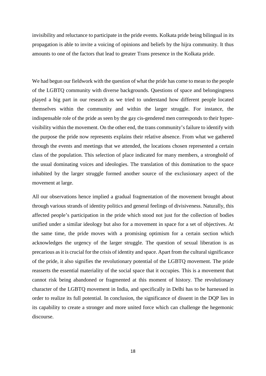invisibility and reluctance to participate in the pride events. Kolkata pride being bilingual in its propagation is able to invite a voicing of opinions and beliefs by the hijra community. It thus amounts to one of the factors that lead to greater Trans presence in the Kolkata pride.

We had begun our fieldwork with the question of what the pride has come to mean to the people of the LGBTQ community with diverse backgrounds. Questions of space and belongingness played a big part in our research as we tried to understand how different people located themselves within the community and within the larger struggle. For instance, the indispensable role of the pride as seen by the gay cis-gendered men corresponds to their hypervisibility within the movement. On the other end, the trans community's failure to identify with the purpose the pride now represents explains their relative absence. From what we gathered through the events and meetings that we attended, the locations chosen represented a certain class of the population. This selection of place indicated for many members, a stronghold of the usual dominating voices and ideologies. The translation of this domination to the space inhabited by the larger struggle formed another source of the exclusionary aspect of the movement at large.

All our observations hence implied a gradual fragmentation of the movement brought about through various strands of identity politics and general feelings of divisiveness. Naturally, this affected people's participation in the pride which stood not just for the collection of bodies unified under a similar ideology but also for a movement in space for a set of objectives. At the same time, the pride moves with a promising optimism for a certain section which acknowledges the urgency of the larger struggle. The question of sexual liberation is as precarious as it is crucial for the crisis of identity and space. Apart from the cultural significance of the pride, it also signifies the revolutionary potential of the LGBTQ movement. The pride reasserts the essential materiality of the social space that it occupies. This is a movement that cannot risk being abandoned or fragmented at this moment of history. The revolutionary character of the LGBTQ movement in India, and specifically in Delhi has to be harnessed in order to realize its full potential. In conclusion, the significance of dissent in the DQP lies in its capability to create a stronger and more united force which can challenge the hegemonic discourse.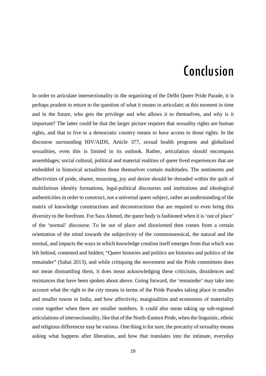# Conclusion

In order to articulate intersectionality in the organizing of the Delhi Queer Pride Parade, it is perhaps prudent to return to the question of what it means to articulate; at this moment in time and in the future, who gets the privilege and who allows it to themselves, and why is it important? The latter could be that the larger picture requires that sexuality rights are human rights, and that to live in a democratic country means to have access to those rights. In the discourse surrounding HIV/AIDS, Article 377, sexual health programs and globalized sexualities, even this is limited in its outlook. Rather, articulation should encompass assemblages; social cultural, political and material realities of queer lived experiences that are embedded in historical actualities those themselves contain multitudes. The sentiments and affectivities of pride, shame, mourning, joy and desire should be threaded within the quilt of multifarious identity formations, legal-political discourses and institutions and ideological authenticities in order to construct, not a universal queer subject, rather an understanding of the matrix of knowledge constructions and deconstructions that are required to even bring this diversity to the forefront. For Sara Ahmed, the queer body is fashioned when it is 'out of place' of the 'normal' discourse. To be out of place and disoriented then comes from a certain orientation of the mind towards the subjectivity of the commonsensical, the natural and the normal, and impacts the ways in which knowledge creation itself emerges from that which was left behind, contested and hidden; "Queer histories and politics are histories and politics of the remainder" (Sahai 2013), and while critiquing the movement and the Pride committees does not mean dismantling them, it does mean acknowledging these criticisms, dissidences and resistances that have been spoken about above. Going forward, the 'remainder' may take into account what the right to the city means in terms of the Pride Parades taking place in smaller and smaller towns in India, and how affectivity, marginalities and economies of materiality come together when there are smaller numbers. It could also mean taking up sub-regional articulations of intersectionality, like that of the North-Eastern Pride, when the linguistic, ethnic and religious differences may be various. One thing is for sure, the precarity of sexuality means asking what happens after liberation, and how that translates into the intimate, everyday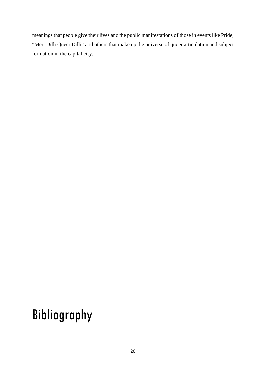meanings that people give their lives and the public manifestations of those in events like Pride, "Meri Dilli Queer Dilli" and others that make up the universe of queer articulation and subject formation in the capital city.

# Bibliography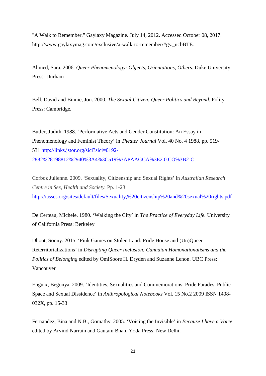"A Walk to Remember." Gaylaxy Magazine. July 14, 2012. Accessed October 08, 2017. http://www.gaylaxymag.com/exclusive/a-walk-to-remember/#gs.\_ucbBTE.

Ahmed, Sara. 2006. *Queer Phenomenology: Objects, Orientations, Others.* Duke University Press: Durham

Bell, David and Binnie, Jon. 2000. *The Sexual Citizen: Queer Politics and Beyond*. Polity Press: Cambridge.

Butler, Judith. 1988. 'Performative Acts and Gender Constitution: An Essay in Phenomenology and Feminist Theory' in *Theater Journal* Vol. 40 No. 4 1988, pp. 519 531 [http://links.jstor.org/sici?sici=0192-](http://links.jstor.org/sici?sici=0192-2882%28198812%2940%3A4%3C519%3APAAGCA%3E2.0.CO%3B2-C) [2882%28198812%2940%3A4%3C519%3APAAGCA%3E2.0.CO%3B2-C](http://links.jstor.org/sici?sici=0192-2882%28198812%2940%3A4%3C519%3APAAGCA%3E2.0.CO%3B2-C)

Corboz Julienne. 2009. 'Sexuality, Citizenship and Sexual Rights' in *Australian Research Centre in Sex, Health and Society.* Pp. 1-23 <http://iasscs.org/sites/default/files/Sexuality,%20citizenship%20and%20sexual%20rights.pdf>

De Certeau, Michele. 1980. 'Walking the City' in *The Practice of Everyday Life.* University of California Press: Berkeley

Dhoot, Sonny. 2015. 'Pink Games on Stolen Land: Pride House and (Un)Queer Reterritorializations' in *Disrupting Queer Inclusion: Canadian Homonationalisms and the Politics of Belonging* edited by OmiSoore H. Dryden and Suzanne Lenon. UBC Press: Vancouver

Enguix, Begonya. 2009. 'Identities, Sexualities and Commemorations: Pride Parades, Public Space and Sexual Dissidence' in *Anthropological Notebooks* Vol. 15 No.2 2009 ISSN 1408- 032X, pp. 15-33

Fernandez, Bina and N.B., Gomathy. 2005. 'Voicing the Invisible' in *Because I have a Voice*  edited by Arvind Narrain and Gautam Bhan. Yoda Press: New Delhi.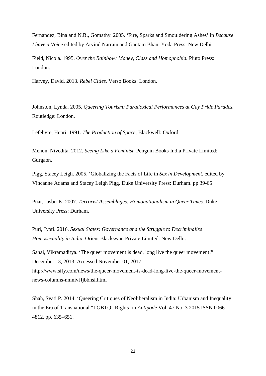Fernandez, Bina and N.B., Gomathy. 2005. 'Fire, Sparks and Smouldering Ashes' in *Because I have a Voice* edited by Arvind Narrain and Gautam Bhan. Yoda Press: New Delhi.

Field, Nicola. 1995. *Over the Rainbow: Money, Class and Homophobia.* Pluto Press: London.

Harvey, David. 2013. *Rebel Cities.* Verso Books: London.

Johnston, Lynda. 2005. *Queering Tourism: Paradoxical Performances at Gay Pride Parades.*  Routledge: London.

Lefebvre, Henri. 1991. *The Production of Space,* Blackwell: Oxford.

Menon, Nivedita. 2012. *Seeing Like a Feminist.* Penguin Books India Private Limited: Gurgaon.

Pigg, Stacey Leigh. 2005, 'Globalizing the Facts of Life in *Sex in Development,* edited by Vincanne Adams and Stacey Leigh Pigg. Duke University Press: Durham. pp 39-65

Puar, Jasbir K. 2007. *Terrorist Assemblages: Homonationalism in Queer Times.* Duke University Press: Durham.

Puri, Jyoti. 2016. *Sexual States: Governance and the Struggle to Decriminalize Homosexuality in India*. Orient Blackswan Private Limited: New Delhi.

Sahai, Vikramaditya. 'The queer movement is dead, long live the queer movement!" December 13, 2013. Accessed November 01, 2017. http://www.sify.com/news/the-queer-movement-is-dead-long-live-the-queer-movementnews-columns-nmnivJfjbbhsi.html

Shah, Svati P. 2014. 'Queering Critiques of Neoliberalism in India: Urbanism and Inequality in the Era of Transnational "LGBTQ" Rights' in *Antipode* Vol. 47 No. 3 2015 ISSN 0066- 4812, pp. 635–651.